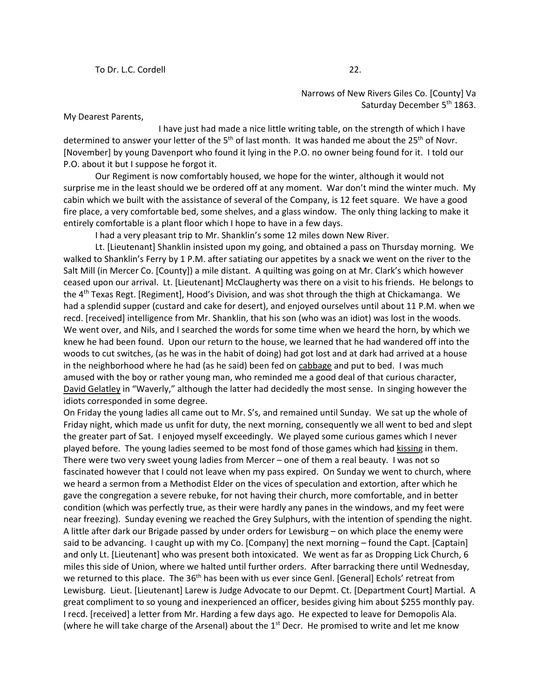Narrows of New Rivers Giles Co. [County] Va Saturday December 5<sup>th</sup> 1863.

My Dearest Parents,

I have just had made a nice little writing table, on the strength of which I have determined to answer your letter of the 5<sup>th</sup> of last month. It was handed me about the 25<sup>th</sup> of Novr. [November] by young Davenport who found it lying in the P.O. no owner being found for it. I told our P.O. about it but I suppose he forgot it.

Our Regiment is now comfortably housed, we hope for the winter, although it would not surprise me in the least should we be ordered off at any moment. War don't mind the winter much. My cabin which we built with the assistance of several of the Company, is 12 feet square. We have a good fire place, a very comfortable bed, some shelves, and a glass window. The only thing lacking to make it entirely comfortable is a plant floor which I hope to have in a few days.

I had a very pleasant trip to Mr. Shanklin's some 12 miles down New River.

Lt. [Lieutenant] Shanklin insisted upon my going, and obtained a pass on Thursday morning. We walked to Shanklin's Ferry by 1 P.M. after satiating our appetites by a snack we went on the river to the Salt Mill (in Mercer Co. [County]) a mile distant. A quilting was going on at Mr. Clark's which however ceased upon our arrival. Lt. [Lieutenant] McClaugherty was there on a visit to his friends. He belongs to the 4th Texas Regt. [Regiment], Hood's Division, and was shot through the thigh at Chickamanga. We had a splendid supper (custard and cake for desert), and enjoyed ourselves until about 11 P.M. when we recd. [received] intelligence from Mr. Shanklin, that his son (who was an idiot) was lost in the woods. We went over, and Nils, and I searched the words for some time when we heard the horn, by which we knew he had been found. Upon our return to the house, we learned that he had wandered off into the woods to cut switches, (as he was in the habit of doing) had got lost and at dark had arrived at a house in the neighborhood where he had (as he said) been fed on cabbage and put to bed. I was much amused with the boy or rather young man, who reminded me a good deal of that curious character, David Gelatley in "Waverly," although the latter had decidedly the most sense. In singing however the idiots corresponded in some degree.

On Friday the young ladies all came out to Mr. S's, and remained until Sunday. We sat up the whole of Friday night, which made us unfit for duty, the next morning, consequently we all went to bed and slept the greater part of Sat. I enjoyed myself exceedingly. We played some curious games which I never played before. The young ladies seemed to be most fond of those games which had kissing in them. There were two very sweet young ladies from Mercer – one of them a real beauty. I was not so fascinated however that I could not leave when my pass expired. On Sunday we went to church, where we heard a sermon from a Methodist Elder on the vices of speculation and extortion, after which he gave the congregation a severe rebuke, for not having their church, more comfortable, and in better condition (which was perfectly true, as their were hardly any panes in the windows, and my feet were near freezing). Sunday evening we reached the Grey Sulphurs, with the intention of spending the night. A little after dark our Brigade passed by under orders for Lewisburg – on which place the enemy were said to be advancing. I caught up with my Co. [Company] the next morning – found the Capt. [Captain] and only Lt. [Lieutenant] who was present both intoxicated. We went as far as Dropping Lick Church, 6 miles this side of Union, where we halted until further orders. After barracking there until Wednesday, we returned to this place. The 36<sup>th</sup> has been with us ever since Genl. [General] Echols' retreat from Lewisburg. Lieut. [Lieutenant] Larew is Judge Advocate to our Depmt. Ct. [Department Court] Martial. A great compliment to so young and inexperienced an officer, besides giving him about \$255 monthly pay. I recd. [received] a letter from Mr. Harding a few days ago. He expected to leave for Demopolis Ala. (where he will take charge of the Arsenal) about the  $1<sup>st</sup>$  Decr. He promised to write and let me know